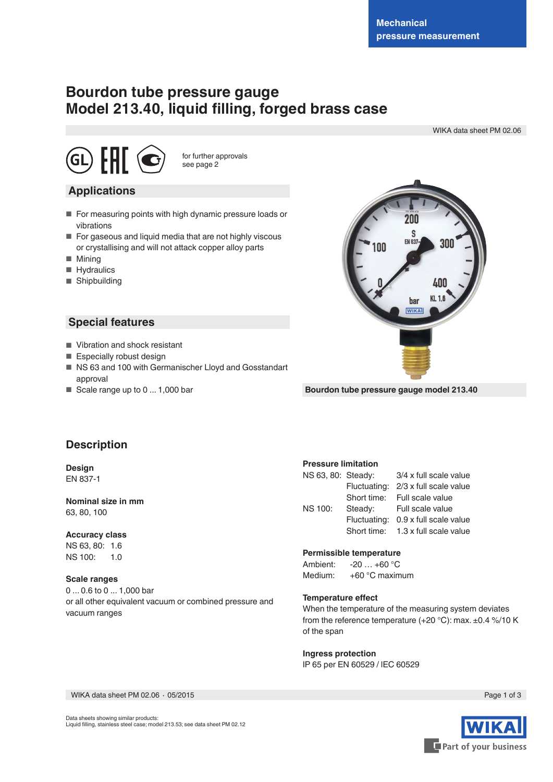# **Bourdon tube pressure gauge Model 213.40, liquid filling, forged brass case**

WIKA data sheet PM 02.06



for further approvals see page 2

## **Applications**

- For measuring points with high dynamic pressure loads or vibrations
- For gaseous and liquid media that are not highly viscous or crystallising and will not attack copper alloy parts
- Mining
- Hydraulics
- Shipbuilding

## **Special features**

- Vibration and shock resistant
- Especially robust design
- NS 63 and 100 with Germanischer Lloyd and Gosstandart approval
- Scale range up to 0 ... 1,000 bar



**Bourdon tube pressure gauge model 213.40**

# **Description**

**Design** EN 837-1

#### **Nominal size in mm** 63, 80, 100

#### **Accuracy class**

NS 63, 80: 1.6 NS 100: 1.0

#### **Scale ranges**

0 ... 0.6 to 0 ... 1,000 bar or all other equivalent vacuum or combined pressure and vacuum ranges

#### **Pressure limitation**

| NS 63, 80: Steady: |              | 3/4 x full scale value             |  |  |  |  |
|--------------------|--------------|------------------------------------|--|--|--|--|
|                    | Fluctuating: | 2/3 x full scale value             |  |  |  |  |
|                    | Short time:  | Full scale value                   |  |  |  |  |
| <b>NS 100:</b>     | Steady:      | Full scale value                   |  |  |  |  |
|                    | Fluctuating: | 0.9 x full scale value             |  |  |  |  |
|                    |              | Short time: 1.3 x full scale value |  |  |  |  |

**Permissible temperature**<br>Ambient: -20 ... +60 °C  $-20$   $\dots$  +60  $^{\circ}$ C Medium: +60 °C maximum

#### **Temperature effect**

When the temperature of the measuring system deviates from the reference temperature (+20 °C): max. ±0.4 %/10 K of the span

**Ingress protection**

IP 65 per EN 60529 / lEC 60529

WIKA data sheet PM 02.06 ⋅ 05/2015 Page 1 of 3

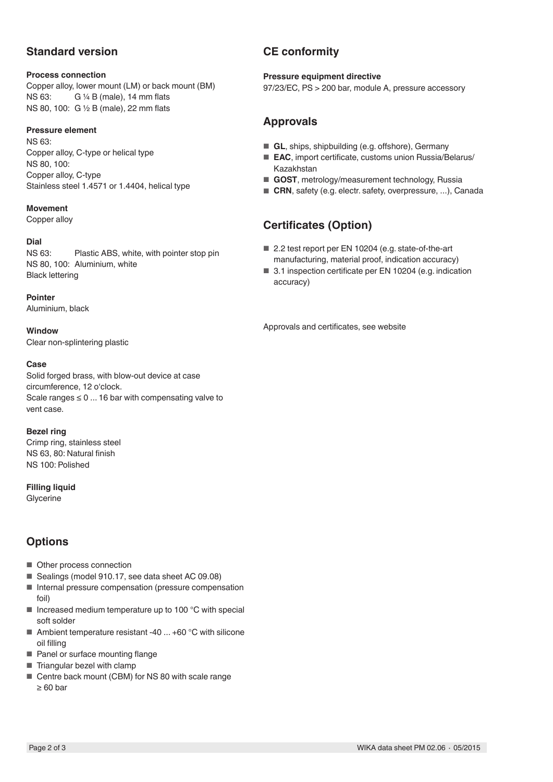# **Standard version**

#### **Process connection**

Copper alloy, lower mount (LM) or back mount (BM) NS 63: G ¼ B (male), 14 mm flats NS 80, 100: G ½ B (male), 22 mm flats

### **Pressure element**

NS 63: Copper alloy, C-type or helical type NS 80, 100: Copper alloy, C-type Stainless steel 1.4571 or 1.4404, helical type

#### **Movement**

Copper alloy

#### **Dial**

NS 63: Plastic ABS, white, with pointer stop pin NS 80, 100: Aluminium, white Black lettering

**Pointer**

Aluminium, black

**Window** Clear non-splintering plastic

### **Case**

Solid forged brass, with blow-out device at case circumference, 12 o'clock. Scale ranges  $\leq 0$  ... 16 bar with compensating valve to vent case.

**Bezel ring** Crimp ring, stainless steel NS 63, 80: Natural finish NS 100: Polished

**Filling liquid Glycerine** 

# **Options**

- Other process connection
- Sealings (model 910.17, see data sheet AC 09.08)
- Internal pressure compensation (pressure compensation foil)
- $\blacksquare$  Increased medium temperature up to 100 °C with special soft solder
- Ambient temperature resistant -40  $\dots$  +60 °C with silicone oil filling
- Panel or surface mounting flange
- Triangular bezel with clamp
- Centre back mount (CBM) for NS 80 with scale range ≥ 60 bar

# **CE conformity**

#### **Pressure equipment directive**

97/23/EC, PS > 200 bar, module A, pressure accessory

# **Approvals**

- **GL**, ships, shipbuilding (e.g. offshore), Germany
- **EAC**, import certificate, customs union Russia/Belarus/ Kazakhstan
- **GOST**, metrology/measurement technology, Russia
- **CRN**, safety (e.g. electr. safety, overpressure, ...), Canada

# **Certificates (Option)**

- 2.2 test report per EN 10204 (e.g. state-of-the-art manufacturing, material proof, indication accuracy)
- 3.1 inspection certificate per EN 10204 (e.g. indication accuracy)

Approvals and certificates, see website